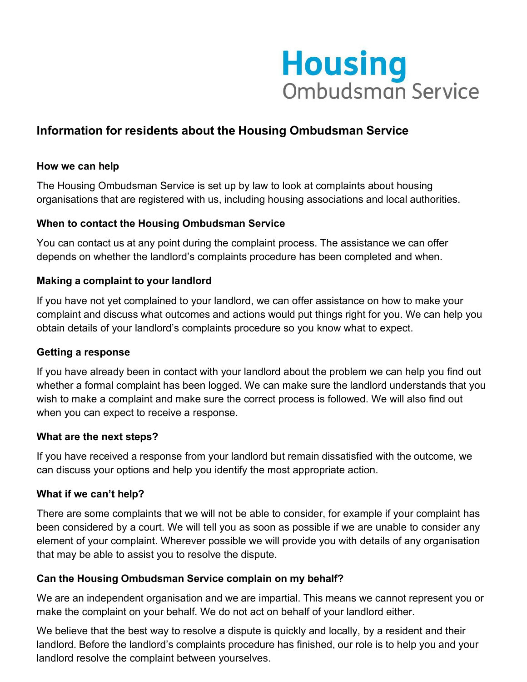

# **Information for residents about the Housing Ombudsman Service**

#### **How we can help**

The Housing Ombudsman Service is set up by law to look at complaints about housing organisations that are registered with us, including housing associations and local authorities.

#### **When to contact the Housing Ombudsman Service**

You can contact us at any point during the complaint process. The assistance we can offer depends on whether the landlord's complaints procedure has been completed and when.

#### **Making a complaint to your landlord**

If you have not yet complained to your landlord, we can offer assistance on how to make your complaint and discuss what outcomes and actions would put things right for you. We can help you obtain details of your landlord's complaints procedure so you know what to expect.

#### **Getting a response**

If you have already been in contact with your landlord about the problem we can help you find out whether a formal complaint has been logged. We can make sure the landlord understands that you wish to make a complaint and make sure the correct process is followed. We will also find out when you can expect to receive a response.

#### **What are the next steps?**

If you have received a response from your landlord but remain dissatisfied with the outcome, we can discuss your options and help you identify the most appropriate action.

#### **What if we can't help?**

There are some complaints that we will not be able to consider, for example if your complaint has been considered by a court. We will tell you as soon as possible if we are unable to consider any element of your complaint. Wherever possible we will provide you with details of any organisation that may be able to assist you to resolve the dispute.

# **Can the Housing Ombudsman Service complain on my behalf?**

We are an independent organisation and we are impartial. This means we cannot represent you or make the complaint on your behalf. We do not act on behalf of your landlord either.

We believe that the best way to resolve a dispute is quickly and locally, by a resident and their landlord. Before the landlord's complaints procedure has finished, our role is to help you and your landlord resolve the complaint between yourselves.